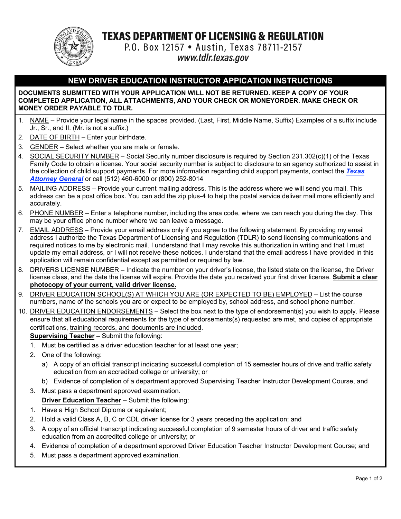

**TEXAS DEPARTMENT OF LICENSING & REGULATION** 

P.O. Box 12157 . Austin, Texas 78711-2157 www.tdlr.texas.gov

### **NEW DRIVER EDUCATION INSTRUCTOR APPICATION INSTRUCTIONS**

#### **DOCUMENTS SUBMITTED WITH YOUR APPLICATION WILL NOT BE RETURNED. KEEP A COPY OF YOUR COMPLETED APPLICATION, ALL ATTACHMENTS, AND YOUR CHECK OR MONEYORDER. MAKE CHECK OR MONEY ORDER PAYABLE TO TDLR.**

- 1. NAME Provide your legal name in the spaces provided. (Last, First, Middle Name, Suffix) Examples of a suffix include Jr., Sr., and II. (Mr. is not a suffix.)
- 2. DATE OF BIRTH Enter your birthdate.
- 3. GENDER Select whether you are male or female.
- 4. SOCIAL SECURITY NUMBER Social Security number disclosure is required by Section 231.302(c)(1) of the Texas Family Code to obtain a license. Your social security number is subject to disclosure to an agency authorized to assist in the collection of child support payments. For [more information regarding child support](https://www.texasattorneygeneral.gov/child-support) payments, contact the *Texas Attorney General* or call (512) 460-6000 or (800) 252-8014
- 5. MAILING ADDRESS Provide your current mailing address. This is the address where we will send you mail. This address can be a post office box. You can add the zip plus-4 to help the postal service deliver mail more efficiently and accurately.
- 6. PHONE NUMBER Enter a telephone number, including the area code, where we can reach you during the day. This may be your office phone number where we can leave a message.
- 7. EMAIL ADDRESS Provide your email address only if you agree to the following statement. By providing my email address I authorize the Texas Department of Licensing and Regulation (TDLR) to send licensing communications and required notices to me by electronic mail. I understand that I may revoke this authorization in writing and that I must update my email address, or I will not receive these notices. I understand that the email address I have provided in this application will remain confidential except as permitted or required by law.
- 8. DRIVERS LICENSE NUMBER Indicate the number on your driver's license, the listed state on the license, the Driver license class, and the date the license will expire. Provide the date you received your first driver license. **Submit a clear photocopy of your current, valid driver license.**
- 9. DRIVER EDUCATION SCHOOL(S) AT WHICH YOU ARE (OR EXPECTED TO BE) EMPLOYED List the course numbers, name of the schools you are or expect to be employed by, school address, and school phone number.
- 10. DRIVER EDUCATION ENDORSEMENTS Select the box next to the type of endorsement(s) you wish to apply. Please ensure that all educational requirements for the type of endorsements(s) requested are met, and copies of appropriate certifications, training records, and documents are included.

#### **Supervising Teacher** – Submit the following:

- 1. Must be certified as a driver education teacher for at least one year;
- 2. One of the following:
	- a) A copy of an official transcript indicating successful completion of 15 semester hours of drive and traffic safety education from an accredited college or university; or
	- b) Evidence of completion of a department approved Supervising Teacher Instructor Development Course, and
- 3. Must pass a department approved examination. **Driver Education Teacher** – Submit the following:
- 1. Have a High School Diploma or equivalent;
- 2. Hold a valid Class A, B, C or CDL driver license for 3 years preceding the application; and
- 3. A copy of an official transcript indicating successful completion of 9 semester hours of driver and traffic safety education from an accredited college or university; or
- 4. Evidence of completion of a department approved Driver Education Teacher Instructor Development Course; and
- 5. Must pass a department approved examination.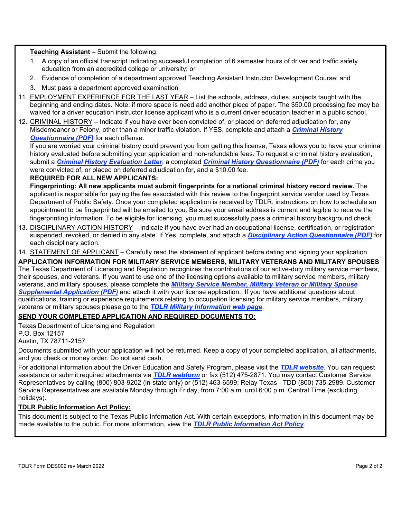#### **Teaching Assistant** – Submit the following:

- 1. A copy of an official transcript indicating successful completion of 6 semester hours of driver and traffic safety education from an accredited college or university; or
- 2. Evidence of completion of a department approved Teaching Assistant Instructor Development Course; and
- 3. Must pass a department approved examination
- 11. EMPLOYMENT EXPERIENCE FOR THE LAST YEAR List the schools, address, duties, subjects taught with the beginning and ending dates. Note: if more space is need add another piece of paper. The \$50.00 processing fee may be waived for a driver education instructor license applicant who is a current driver education teacher in a public school.
- 12. CRIMINAL HISTORY Indicate if you have ever been convicted of, or placed on deferred adjudication for, any Misdemeanor or Felony, other than a minor traffic violation. If YES, complete and attach a *Criminal History [Questionnaire \(PDF\)](https://www.tdlr.texas.gov/MISC/lic002.pdf)* for each offense.

If you are worried your criminal history could prevent you from getting this license, Texas allows you to have your criminal history evaluated before submitting your application and non-refundable fees. To request a criminal history evaluation, submit a *Criminal History [Evaluation](https://www.tdlr.texas.gov/crimHistoryEval.htm) Letter*, a completed *[Criminal History Questionnaire \(PDF\)](https://www.tdlr.texas.gov/MISC/lic002.pdf)* for each crime you were convicted of, or placed on deferred adjudication for, and a \$10.00 fee.

#### **REQUIRED FOR ALL NEW APPLICANTS:**

**Fingerprinting: All new applicants must submit fingerprints for a national criminal history record review.** The applicant is responsible for paying the fee associated with this review to the fingerprint service vendor used by Texas Department of Public Safety. Once your completed application is received by TDLR, instructions on how to schedule an appointment to be fingerprinted will be emailed to you. Be sure your email address is current and legible to receive the fingerprinting information. To be eligible for licensing, you must successfully pass a criminal history background check.

- 13. DISCIPLINARY ACTION HISTORY Indicate if you have ever had an occupational license, certification, or registration suspended, revoked, or denied in any state. If Yes, complete, and attach a *[Disciplinary Action Questionnaire](https://www.tdlr.texas.gov/misc/Disciplinary%20Action%20Questionnaire.pdf) (PDF)* for each disciplinary action.
- 14. STATEMENT OF APPLICANT Carefully read the statement of applicant before dating and signing your application.

**APPLICATION INFORMATION FOR MILITARY SERVICE MEMBERS, MILITARY VETERANS AND MILITARY SPOUSES** The Texas Department of Licensing and Regulation recognizes the contributions of our active-duty military service members, their spouses, and veterans. If you want to use one of the licensing options available to military service members, military veterans, and military spouses, please complete the *Military Service Member, Military Veteran or Military Spouse [Supplemental Application \(PDF\)](https://www.tdlr.texas.gov/misc/militarysupplemental.pdf)* and attach it with your license application. If you have additional questions about qualifications, training or experience requirements relating to occupation licensing for military service members, military veterans or military spouses please go to the *[TDLR Military Information web page](https://www.tdlr.texas.gov/military/)*.

#### **SEND YOUR COMPLETED APPLICATION AND REQUIRED DOCUMENTS TO:**

Texas Department of Licensing and Regulation P.O. Box 12157 Austin, TX 78711-2157

Documents submitted with your application will not be returned. Keep a copy of your completed application, all attachments, and you check or money order. Do not send cash.

For additional information about the Driver Education and Safety Program, please visit the *TDLR [website](https://www.tdlr.texas.gov/)*. You can request assistance or submit required attachments via *[TDLR webform](https://www.tdlr.texas.gov/help/)* or fax (512) 475-2871. You may contact Customer Service Representatives by calling (800) 803-9202 (in-state only) or (512) 463-6599; Relay Texas - TDD (800) 735-2989. Customer Service Representatives are available Monday through Friday, from 7:00 a.m. until 6:00 p.m. Central Time (excluding holidays).

#### **TDLR Public Information Act Policy:**

This document is subject to the Texas Public Information Act. With certain exceptions, information in this document may be made available to the public. For more information, view the *[TDLR Public Information Act Policy](https://www.tdlr.texas.gov/disclaimer.htm#PublicInfoPolicy)*.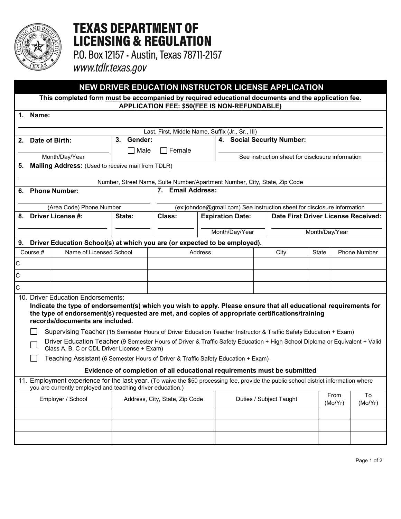

# **TEXAS DEPARTMENT OF LICENSING & REGULATION**

P.O. Box 12157 - Austin, Texas 78711-2157

www.tdlr.texas.gov

## **NEW DRIVER EDUCATION INSTRUCTOR LICENSE APPLICATION**

**This completed form must be accompanied by required educational documents and the application fee. APPLICATION FEE: \$50(FEE IS NON-REFUNDABLE)**

| 1.                                                                                                                                                                                                                                                        | Name:                                                                             |                                                                                                                                      |        |                                                                         |                         |                                                  |                                     |       |                     |         |  |  |  |
|-----------------------------------------------------------------------------------------------------------------------------------------------------------------------------------------------------------------------------------------------------------|-----------------------------------------------------------------------------------|--------------------------------------------------------------------------------------------------------------------------------------|--------|-------------------------------------------------------------------------|-------------------------|--------------------------------------------------|-------------------------------------|-------|---------------------|---------|--|--|--|
| Last, First, Middle Name, Suffix (Jr., Sr., III)                                                                                                                                                                                                          |                                                                                   |                                                                                                                                      |        |                                                                         |                         |                                                  |                                     |       |                     |         |  |  |  |
| 2.                                                                                                                                                                                                                                                        | Gender:<br>3.<br>Date of Birth:                                                   |                                                                                                                                      |        | 4.                                                                      |                         | <b>Social Security Number:</b>                   |                                     |       |                     |         |  |  |  |
|                                                                                                                                                                                                                                                           |                                                                                   |                                                                                                                                      | Male   | Female                                                                  |                         |                                                  |                                     |       |                     |         |  |  |  |
| 5.                                                                                                                                                                                                                                                        |                                                                                   | Month/Day/Year<br>Mailing Address: (Used to receive mail from TDLR)                                                                  |        |                                                                         |                         | See instruction sheet for disclosure information |                                     |       |                     |         |  |  |  |
|                                                                                                                                                                                                                                                           |                                                                                   |                                                                                                                                      |        |                                                                         |                         |                                                  |                                     |       |                     |         |  |  |  |
|                                                                                                                                                                                                                                                           | Number, Street Name, Suite Number/Apartment Number, City, State, Zip Code         |                                                                                                                                      |        |                                                                         |                         |                                                  |                                     |       |                     |         |  |  |  |
|                                                                                                                                                                                                                                                           | 6. Phone Number:                                                                  |                                                                                                                                      |        | <b>Email Address:</b><br>7.                                             |                         |                                                  |                                     |       |                     |         |  |  |  |
|                                                                                                                                                                                                                                                           |                                                                                   | (Area Code) Phone Number                                                                                                             |        | (ex:johndoe@gmail.com) See instruction sheet for disclosure information |                         |                                                  |                                     |       |                     |         |  |  |  |
| 8.                                                                                                                                                                                                                                                        |                                                                                   | <b>Driver License #:</b>                                                                                                             | State: | Class:                                                                  | <b>Expiration Date:</b> |                                                  | Date First Driver License Received: |       |                     |         |  |  |  |
|                                                                                                                                                                                                                                                           |                                                                                   |                                                                                                                                      |        |                                                                         |                         |                                                  |                                     |       |                     |         |  |  |  |
|                                                                                                                                                                                                                                                           |                                                                                   |                                                                                                                                      |        |                                                                         | Month/Day/Year          |                                                  | Month/Day/Year                      |       |                     |         |  |  |  |
|                                                                                                                                                                                                                                                           | Driver Education School(s) at which you are (or expected to be employed).<br>9.   |                                                                                                                                      |        |                                                                         |                         |                                                  |                                     |       |                     |         |  |  |  |
|                                                                                                                                                                                                                                                           | Name of Licensed School<br>Course #                                               |                                                                                                                                      |        |                                                                         | <b>Address</b>          | City                                             |                                     | State | <b>Phone Number</b> |         |  |  |  |
| Iс                                                                                                                                                                                                                                                        |                                                                                   |                                                                                                                                      |        |                                                                         |                         |                                                  |                                     |       |                     |         |  |  |  |
| Iс                                                                                                                                                                                                                                                        |                                                                                   |                                                                                                                                      |        |                                                                         |                         |                                                  |                                     |       |                     |         |  |  |  |
| Iс                                                                                                                                                                                                                                                        |                                                                                   |                                                                                                                                      |        |                                                                         |                         |                                                  |                                     |       |                     |         |  |  |  |
| 10. Driver Education Endorsements:<br>Indicate the type of endorsement(s) which you wish to apply. Please ensure that all educational requirements for<br>the type of endorsement(s) requested are met, and copies of appropriate certifications/training |                                                                                   |                                                                                                                                      |        |                                                                         |                         |                                                  |                                     |       |                     |         |  |  |  |
|                                                                                                                                                                                                                                                           |                                                                                   | records/documents are included.                                                                                                      |        |                                                                         |                         |                                                  |                                     |       |                     |         |  |  |  |
|                                                                                                                                                                                                                                                           |                                                                                   | Supervising Teacher (15 Semester Hours of Driver Education Teacher Instructor & Traffic Safety Education + Exam)                     |        |                                                                         |                         |                                                  |                                     |       |                     |         |  |  |  |
| Driver Education Teacher (9 Semester Hours of Driver & Traffic Safety Education + High School Diploma or Equivalent + Valid<br>$\mathbf{L}$<br>Class A, B, C or CDL Driver License + Exam)                                                                |                                                                                   |                                                                                                                                      |        |                                                                         |                         |                                                  |                                     |       |                     |         |  |  |  |
|                                                                                                                                                                                                                                                           | Teaching Assistant (6 Semester Hours of Driver & Traffic Safety Education + Exam) |                                                                                                                                      |        |                                                                         |                         |                                                  |                                     |       |                     |         |  |  |  |
| Evidence of completion of all educational requirements must be submitted                                                                                                                                                                                  |                                                                                   |                                                                                                                                      |        |                                                                         |                         |                                                  |                                     |       |                     |         |  |  |  |
|                                                                                                                                                                                                                                                           |                                                                                   | 11. Employment experience for the last year. (To waive the \$50 processing fee, provide the public school district information where |        |                                                                         |                         |                                                  |                                     |       |                     |         |  |  |  |
| you are currently employed and teaching driver education.)                                                                                                                                                                                                |                                                                                   |                                                                                                                                      |        |                                                                         |                         | Duties / Subject Taught                          |                                     |       | From                | To      |  |  |  |
|                                                                                                                                                                                                                                                           |                                                                                   | Employer / School                                                                                                                    |        | Address, City, State, Zip Code                                          |                         |                                                  |                                     |       | (Mo/Yr)             | (Mo/Yr) |  |  |  |
|                                                                                                                                                                                                                                                           |                                                                                   |                                                                                                                                      |        |                                                                         |                         |                                                  |                                     |       |                     |         |  |  |  |
|                                                                                                                                                                                                                                                           |                                                                                   |                                                                                                                                      |        |                                                                         |                         |                                                  |                                     |       |                     |         |  |  |  |
|                                                                                                                                                                                                                                                           |                                                                                   |                                                                                                                                      |        |                                                                         |                         |                                                  |                                     |       |                     |         |  |  |  |
|                                                                                                                                                                                                                                                           |                                                                                   |                                                                                                                                      |        |                                                                         |                         |                                                  |                                     |       |                     |         |  |  |  |